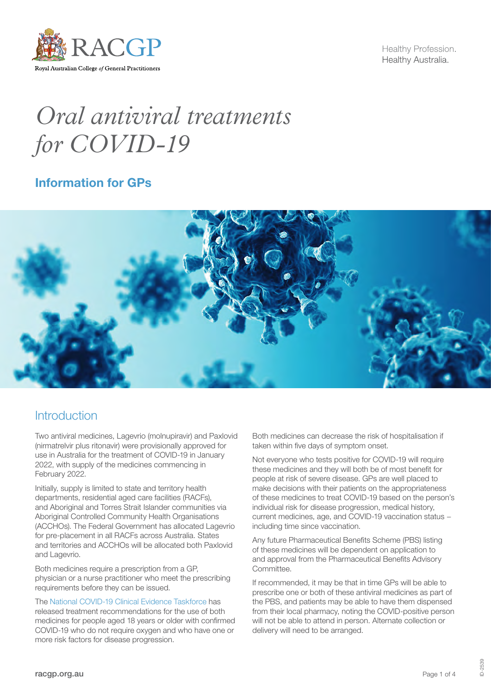

Healthy Profession. Healthy Australia.

# *Oral antiviral treatments for COVID-19*

## Information for GPs



## **Introduction**

Two antiviral medicines, Lagevrio (molnupiravir) and Paxlovid (nirmatrelvir plus ritonavir) were provisionally approved for use in Australia for the treatment of COVID-19 in January 2022, with supply of the medicines commencing in February 2022.

Initially, supply is limited to state and territory health departments, residential aged care facilities (RACFs), and Aboriginal and Torres Strait Islander communities via Aboriginal Controlled Community Health Organisations (ACCHOs). The Federal Government has allocated Lagevrio for pre-placement in all RACFs across Australia. States and territories and ACCHOs will be allocated both Paxlovid and Lagevrio.

Both medicines require a prescription from a GP, physician or a nurse practitioner who meet the prescribing requirements before they can be issued.

The [National COVID-19 Clinical Evidence Taskforce](https://covid19evidence.net.au/) has released treatment recommendations for the use of both medicines for people aged 18 years or older with confirmed COVID-19 who do not require oxygen and who have one or more risk factors for disease progression.

Both medicines can decrease the risk of hospitalisation if taken within five days of symptom onset.

Not everyone who tests positive for COVID-19 will require these medicines and they will both be of most benefit for people at risk of severe disease. GPs are well placed to make decisions with their patients on the appropriateness of these medicines to treat COVID-19 based on the person's individual risk for disease progression, medical history, current medicines, age, and COVID-19 vaccination status − including time since vaccination.

Any future Pharmaceutical Benefits Scheme (PBS) listing of these medicines will be dependent on application to and approval from the Pharmaceutical Benefits Advisory Committee.

If recommended, it may be that in time GPs will be able to prescribe one or both of these antiviral medicines as part of the PBS, and patients may be able to have them dispensed from their local pharmacy, noting the COVID-positive person will not be able to attend in person. Alternate collection or delivery will need to be arranged.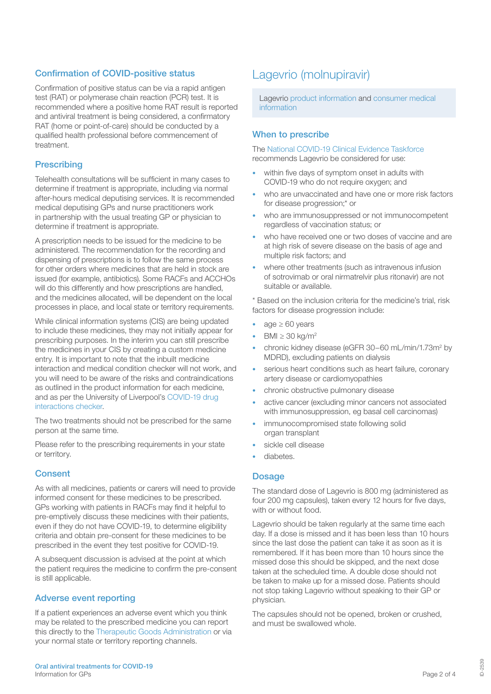## Confirmation of COVID-positive status

Confirmation of positive status can be via a rapid antigen test (RAT) or polymerase chain reaction (PCR) test. It is recommended where a positive home RAT result is reported and antiviral treatment is being considered, a confirmatory RAT (home or point-of-care) should be conducted by a qualified health professional before commencement of treatment.

## **Prescribing**

Telehealth consultations will be sufficient in many cases to determine if treatment is appropriate, including via normal after-hours medical deputising services. It is recommended medical deputising GPs and nurse practitioners work in partnership with the usual treating GP or physician to determine if treatment is appropriate.

A prescription needs to be issued for the medicine to be administered. The recommendation for the recording and dispensing of prescriptions is to follow the same process for other orders where medicines that are held in stock are issued (for example, antibiotics). Some RACFs and ACCHOs will do this differently and how prescriptions are handled, and the medicines allocated, will be dependent on the local processes in place, and local state or territory requirements.

While clinical information systems (CIS) are being updated to include these medicines, they may not initially appear for prescribing purposes. In the interim you can still prescribe the medicines in your CIS by creating a custom medicine entry. It is important to note that the inbuilt medicine interaction and medical condition checker will not work, and you will need to be aware of the risks and contraindications as outlined in the product information for each medicine, and as per the University of Liverpool's [COVID-19 drug](https://www.covid19-druginteractions.org/checker)  [interactions checker.](https://www.covid19-druginteractions.org/checker)

The two treatments should not be prescribed for the same person at the same time.

Please refer to the prescribing requirements in your state or territory.

### **Consent**

As with all medicines, patients or carers will need to provide informed consent for these medicines to be prescribed. GPs working with patients in RACFs may find it helpful to pre-emptively discuss these medicines with their patients, even if they do not have COVID-19, to determine eligibility criteria and obtain pre-consent for these medicines to be prescribed in the event they test positive for COVID-19.

A subsequent discussion is advised at the point at which the patient requires the medicine to confirm the pre-consent is still applicable.

### Adverse event reporting

If a patient experiences an adverse event which you think may be related to the prescribed medicine you can report this directly to the [Therapeutic Goods Administration](https://aems.tga.gov.au/) or via your normal state or territory reporting channels.

## Lagevrio (molnupiravir)

Lagevrio [product information](https://www.tga.gov.au/sites/default/files/lagevrio-pi.pdf) and [consumer medical](https://www.tga.gov.au/sites/default/files/lagevrio-cmi.pdf)  [information](https://www.tga.gov.au/sites/default/files/lagevrio-cmi.pdf)

## When to prescribe

The [National COVID-19 Clinical Evidence Taskforce](https://app.magicapp.org/#/guideline/L4Q5An/section/jboz6G) recommends Lagevrio be considered for use:

- within five days of symptom onset in adults with COVID-19 who do not require oxygen; and
- who are unvaccinated and have one or more risk factors for disease progression;\* or
- who are immunosuppressed or not immunocompetent regardless of vaccination status; or
- who have received one or two doses of vaccine and are at high risk of severe disease on the basis of age and multiple risk factors; and
- where other treatments (such as intravenous infusion of sotrovimab or oral nirmatrelvir plus ritonavir) are not suitable or available.

\* Based on the inclusion criteria for the medicine's trial, risk factors for disease progression include:

- age  $\geq 60$  years
- $BMI \geq 30$  kg/m<sup>2</sup>
- chronic kidney disease (eGFR 30-60 mL/min/1.73m<sup>2</sup> by MDRD), excluding patients on dialysis
- serious heart conditions such as heart failure, coronary artery disease or cardiomyopathies
- chronic obstructive pulmonary disease
- active cancer (excluding minor cancers not associated with immunosuppression, eg basal cell carcinomas)
- immunocompromised state following solid organ transplant
- sickle cell disease
- diabetes.

### **Dosage**

The standard dose of Lagevrio is 800 mg (administered as four 200 mg capsules), taken every 12 hours for five days, with or without food.

Lagevrio should be taken regularly at the same time each day. If a dose is missed and it has been less than 10 hours since the last dose the patient can take it as soon as it is remembered. If it has been more than 10 hours since the missed dose this should be skipped, and the next dose taken at the scheduled time. A double dose should not be taken to make up for a missed dose. Patients should not stop taking Lagevrio without speaking to their GP or physician.

The capsules should not be opened, broken or crushed, and must be swallowed whole.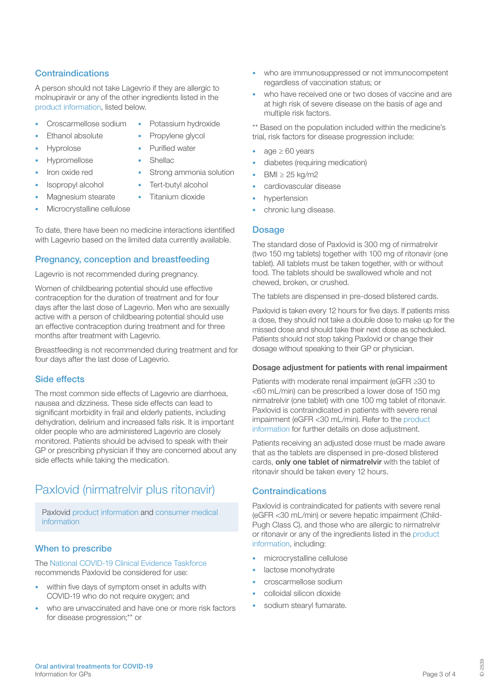## **Contraindications**

A person should not take Lagevrio if they are allergic to molnupiravir or any of the other ingredients listed in the [product](https://www.tga.gov.au/sites/default/files/lagevrio-cmi.pdf) [information](https://www.tga.gov.au/sites/default/files/lagevrio-pi.pdf), listed below.

- Croscarmellose sodium Potassium hydroxide
	- Ethanol absolute Propylene glycol
- - Hyprolose Purified water
- Hypromellose Shellac
	-
- Iron oxide red Strong ammonia solution
- Isopropyl alcohol Tert-butyl alcohol
	- Magnesium stearate Titanium dioxide
- Microcrystalline cellulose

To date, there have been no medicine interactions identified with Lagevrio based on the limited data currently available.

## Pregnancy, conception and breastfeeding

Lagevrio is not recommended during pregnancy.

Women of childbearing potential should use effective contraception for the duration of treatment and for four days after the last dose of Lagevrio. Men who are sexually active with a person of childbearing potential should use an effective contraception during treatment and for three months after treatment with Lagevrio.

Breastfeeding is not recommended during treatment and for four days after the last dose of Lagevrio.

## Side effects

The most common side effects of Lagevrio are diarrhoea, nausea and dizziness. These side effects can lead to significant morbidity in frail and elderly patients, including dehydration, delirium and increased falls risk. It is important older people who are administered Lagevrio are closely monitored. Patients should be advised to speak with their GP or prescribing physician if they are concerned about any side effects while taking the medication.

## Paxlovid (nirmatrelvir plus ritonavir)

Paxlovid [product information](https://www.tga.gov.au/sites/default/files/paxlovid-pi.pdf) and [consumer medical](https://www.tga.gov.au/sites/default/files/paxlovid-cmi.pdf)  [information](https://www.tga.gov.au/sites/default/files/paxlovid-cmi.pdf)

## When to prescribe

The [National COVID-19 Clinical Evidence Taskforce](https://app.magicapp.org/#/guideline/L4Q5An/section/LA6kkM) recommends Paxlovid be considered for use:

- within five days of symptom onset in adults with COVID-19 who do not require oxygen; and
- who are unvaccinated and have one or more risk factors for disease progression;\*\* or
- who are immunosuppressed or not immunocompetent regardless of vaccination status; or
- who have received one or two doses of vaccine and are at high risk of severe disease on the basis of age and multiple risk factors.

\*\* Based on the population included within the medicine's trial, risk factors for disease progression include:

- age  $\geq 60$  years
- diabetes (requiring medication)
- BMI ≥ 25 kg/m2 • cardiovascular disease
- 
- hypertension
- chronic lung disease.

## **Dosage**

The standard dose of Paxlovid is 300 mg of nirmatrelvir (two 150 mg tablets) together with 100 mg of ritonavir (one tablet). All tablets must be taken together, with or without food. The tablets should be swallowed whole and not chewed, broken, or crushed.

The tablets are dispensed in pre-dosed blistered cards.

Paxlovid is taken every 12 hours for five days. If patients miss a dose, they should not take a double dose to make up for the missed dose and should take their next dose as scheduled. Patients should not stop taking Paxlovid or change their dosage without speaking to their GP or physician.

### Dosage adjustment for patients with renal impairment

Patients with moderate renal impairment (eGFR ≥30 to <60 mL/min) can be prescribed a lower dose of 150 mg nirmatrelvir (one tablet) with one 100 mg tablet of ritonavir. Paxlovid is contraindicated in patients with severe renal impairment (eGFR <30 mL/min). Refer to the [product](https://www.tga.gov.au/sites/default/files/paxlovid-pi.pdf)  [information](https://www.tga.gov.au/sites/default/files/paxlovid-pi.pdf) for further details on dose adjustment.

Patients receiving an adjusted dose must be made aware that as the tablets are dispensed in pre-dosed blistered cards, only one tablet of nirmatrelvir with the tablet of ritonavir should be taken every 12 hours.

## **Contraindications**

Paxlovid is contraindicated for patients with severe renal (eGFR <30 mL/min) or severe hepatic impairment (Child-Pugh Class C), and those who are allergic to nirmatrelvir or ritonavir or any of the ingredients listed in the [product](https://www.tga.gov.au/sites/default/files/paxlovid-cmi.pdf)  information, including:

- microcrystalline cellulose
- lactose monohydrate
- croscarmellose sodium
- colloidal silicon dioxide
- sodium stearyl fumarate.

ID-2539